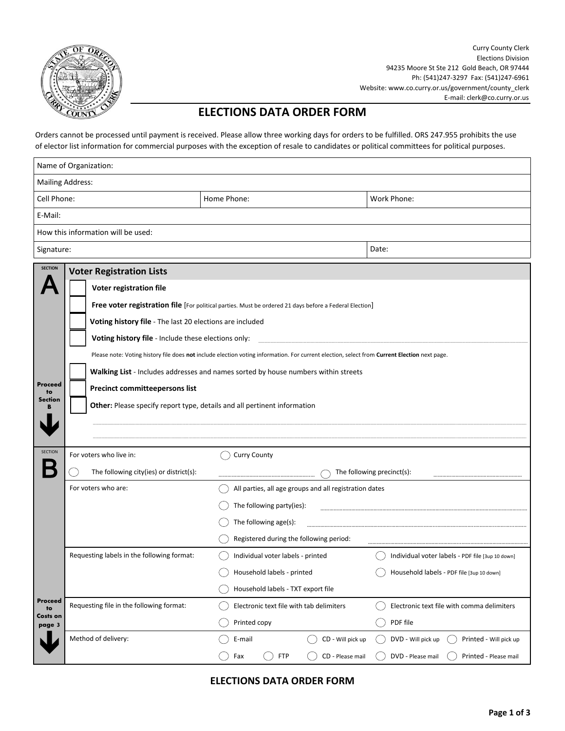

Curry County Clerk Elections Division 94235 Moore St Ste 212 Gold Beach, OR 97444 Ph: (541)247-3297 Fax: (541)247-6961 Website: www.co.curry.or.us/government/county\_clerk E-mail: clerk@co.curry.or.us

## **ELECTIONS DATA ORDER FORM**

Orders cannot be processed until payment is received. Please allow three working days for orders to be fulfilled. ORS 247.955 prohibits the use of elector list information for commercial purposes with the exception of resale to candidates or political committees for political purposes.

| Name of Organization:                                                                                                                                                                                                                                                                                                                                                      |                                            |                                                        |                                                  |               |                                                                                    |  |  |  |
|----------------------------------------------------------------------------------------------------------------------------------------------------------------------------------------------------------------------------------------------------------------------------------------------------------------------------------------------------------------------------|--------------------------------------------|--------------------------------------------------------|--------------------------------------------------|---------------|------------------------------------------------------------------------------------|--|--|--|
| <b>Mailing Address:</b>                                                                                                                                                                                                                                                                                                                                                    |                                            |                                                        |                                                  |               |                                                                                    |  |  |  |
| Cell Phone:                                                                                                                                                                                                                                                                                                                                                                |                                            | Home Phone:                                            | Work Phone:                                      |               |                                                                                    |  |  |  |
| E-Mail:                                                                                                                                                                                                                                                                                                                                                                    |                                            |                                                        |                                                  |               |                                                                                    |  |  |  |
|                                                                                                                                                                                                                                                                                                                                                                            | How this information will be used:         |                                                        |                                                  |               |                                                                                    |  |  |  |
| Signature:                                                                                                                                                                                                                                                                                                                                                                 |                                            |                                                        | Date:                                            |               |                                                                                    |  |  |  |
| <b>SECTION</b>                                                                                                                                                                                                                                                                                                                                                             |                                            |                                                        |                                                  |               |                                                                                    |  |  |  |
|                                                                                                                                                                                                                                                                                                                                                                            | Voter registration file                    |                                                        |                                                  |               |                                                                                    |  |  |  |
| Free voter registration file [For political parties. Must be ordered 21 days before a Federal Election]<br>Voting history file - The last 20 elections are included<br>Voting history file - Include these elections only:<br>Please note: Voting history file does not include election voting information. For current election, select from Current Election next page. |                                            |                                                        |                                                  |               |                                                                                    |  |  |  |
|                                                                                                                                                                                                                                                                                                                                                                            |                                            |                                                        |                                                  |               | Walking List - Includes addresses and names sorted by house numbers within streets |  |  |  |
|                                                                                                                                                                                                                                                                                                                                                                            |                                            |                                                        |                                                  | Proceed<br>to | <b>Precinct committeepersons list</b>                                              |  |  |  |
|                                                                                                                                                                                                                                                                                                                                                                            |                                            |                                                        |                                                  | Section       |                                                                                    |  |  |  |
|                                                                                                                                                                                                                                                                                                                                                                            |                                            |                                                        |                                                  |               |                                                                                    |  |  |  |
|                                                                                                                                                                                                                                                                                                                                                                            |                                            |                                                        |                                                  |               |                                                                                    |  |  |  |
| <b>SECTION</b>                                                                                                                                                                                                                                                                                                                                                             | For voters who live in:                    | <b>Curry County</b>                                    |                                                  |               |                                                                                    |  |  |  |
|                                                                                                                                                                                                                                                                                                                                                                            | The following city(ies) or district(s):    |                                                        | The following precinct(s):                       |               |                                                                                    |  |  |  |
|                                                                                                                                                                                                                                                                                                                                                                            | For voters who are:                        | All parties, all age groups and all registration dates |                                                  |               |                                                                                    |  |  |  |
|                                                                                                                                                                                                                                                                                                                                                                            |                                            | The following party(ies):                              |                                                  |               |                                                                                    |  |  |  |
|                                                                                                                                                                                                                                                                                                                                                                            |                                            | The following age(s):                                  |                                                  |               |                                                                                    |  |  |  |
|                                                                                                                                                                                                                                                                                                                                                                            |                                            | Registered during the following period:                |                                                  |               |                                                                                    |  |  |  |
|                                                                                                                                                                                                                                                                                                                                                                            | Requesting labels in the following format: | Individual voter labels - printed                      | Individual voter labels - PDF file [3up 10 down] |               |                                                                                    |  |  |  |
|                                                                                                                                                                                                                                                                                                                                                                            |                                            | Household labels - printed                             | Household labels - PDF file [3up 10 down]        |               |                                                                                    |  |  |  |
|                                                                                                                                                                                                                                                                                                                                                                            |                                            | Household labels - TXT export file                     |                                                  |               |                                                                                    |  |  |  |
| Proceed<br>to                                                                                                                                                                                                                                                                                                                                                              | Requesting file in the following format:   | Electronic text file with tab delimiters               | Electronic text file with comma delimiters       |               |                                                                                    |  |  |  |
| Costs on<br>page 3                                                                                                                                                                                                                                                                                                                                                         |                                            | Printed copy                                           | PDF file                                         |               |                                                                                    |  |  |  |
|                                                                                                                                                                                                                                                                                                                                                                            | Method of delivery:                        | CD - Will pick up<br>E-mail                            | DVD - Will pick up<br>Printed - Will pick up     |               |                                                                                    |  |  |  |
|                                                                                                                                                                                                                                                                                                                                                                            |                                            | <b>FTP</b><br>Fax<br>CD - Please mail                  | DVD - Please mail<br>Printed - Please mail       |               |                                                                                    |  |  |  |

**ELECTIONS DATA ORDER FORM**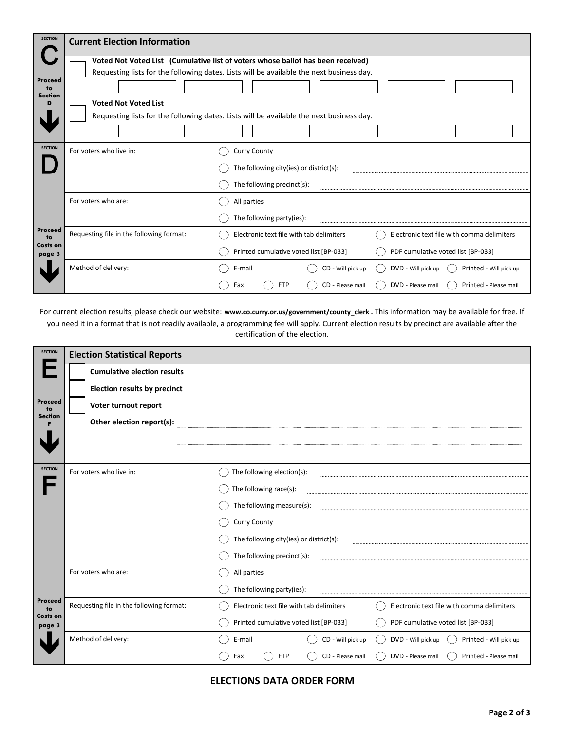| <b>SECTION</b>                             | <b>Current Election Information</b>                                                                                                                                                                                                                                                                    |                                          |                                              |  |
|--------------------------------------------|--------------------------------------------------------------------------------------------------------------------------------------------------------------------------------------------------------------------------------------------------------------------------------------------------------|------------------------------------------|----------------------------------------------|--|
| <b>Proceed</b><br>to<br><b>Section</b>     | Voted Not Voted List (Cumulative list of voters whose ballot has been received)<br>Requesting lists for the following dates. Lists will be available the next business day.<br><b>Voted Not Voted List</b><br>Requesting lists for the following dates. Lists will be available the next business day. |                                          |                                              |  |
| <b>SECTION</b>                             | For voters who live in:                                                                                                                                                                                                                                                                                | <b>Curry County</b>                      |                                              |  |
|                                            |                                                                                                                                                                                                                                                                                                        | The following city(ies) or district(s):  |                                              |  |
| Proceed<br>to<br><b>Costs on</b><br>page 3 |                                                                                                                                                                                                                                                                                                        | The following precinct(s):               |                                              |  |
|                                            | For voters who are:                                                                                                                                                                                                                                                                                    | All parties                              |                                              |  |
|                                            | The following party(ies):                                                                                                                                                                                                                                                                              |                                          |                                              |  |
|                                            | Requesting file in the following format:                                                                                                                                                                                                                                                               | Electronic text file with tab delimiters | Electronic text file with comma delimiters   |  |
|                                            | Printed cumulative voted list [BP-033]                                                                                                                                                                                                                                                                 |                                          | PDF cumulative voted list [BP-033]           |  |
|                                            | Method of delivery:                                                                                                                                                                                                                                                                                    | E-mail<br>CD - Will pick up              | DVD - Will pick up<br>Printed - Will pick up |  |
|                                            |                                                                                                                                                                                                                                                                                                        | <b>FTP</b><br>CD - Please mail<br>Fax    | DVD - Please mail<br>Printed - Please mail   |  |

For current election results, please check our website: **[www.co.curry.or.us/government/county\\_clerk](http://cms6.revize.com/revize/currycountyor/government/county_clerk/government/elections_division.php) .** This information may be available for free. If you need it in a format that is not readily available, a programming fee will apply. Current election results by precinct are available after the certification of the election.

| <b>SECTION</b>                                    | <b>Election Statistical Reports</b>      |                                          |                                              |  |
|---------------------------------------------------|------------------------------------------|------------------------------------------|----------------------------------------------|--|
| <b>Proceed</b><br>to                              | <b>Cumulative election results</b>       |                                          |                                              |  |
|                                                   | <b>Election results by precinct</b>      |                                          |                                              |  |
|                                                   | Voter turnout report                     |                                          |                                              |  |
| <b>Section</b>                                    | Other election report(s):                |                                          |                                              |  |
|                                                   |                                          |                                          |                                              |  |
|                                                   |                                          |                                          |                                              |  |
| <b>SECTION</b>                                    | For voters who live in:                  | The following election(s):               |                                              |  |
|                                                   |                                          | The following race(s):                   |                                              |  |
| <b>Proceed</b><br>to<br><b>Costs on</b><br>page 3 |                                          | The following measure(s):                |                                              |  |
|                                                   |                                          | <b>Curry County</b>                      |                                              |  |
|                                                   |                                          | The following city(ies) or district(s):  |                                              |  |
|                                                   |                                          | The following precinct(s):               |                                              |  |
|                                                   | For voters who are:                      | All parties                              |                                              |  |
|                                                   |                                          | The following party(ies):                |                                              |  |
|                                                   | Requesting file in the following format: | Electronic text file with tab delimiters | Electronic text file with comma delimiters   |  |
|                                                   |                                          | Printed cumulative voted list [BP-033]   | PDF cumulative voted list [BP-033]           |  |
|                                                   | Method of delivery:                      | E-mail<br>CD - Will pick up              | DVD - Will pick up<br>Printed - Will pick up |  |
|                                                   |                                          | <b>FTP</b><br>CD - Please mail<br>Fax    | DVD - Please mail<br>Printed - Please mail   |  |

**ELECTIONS DATA ORDER FORM**